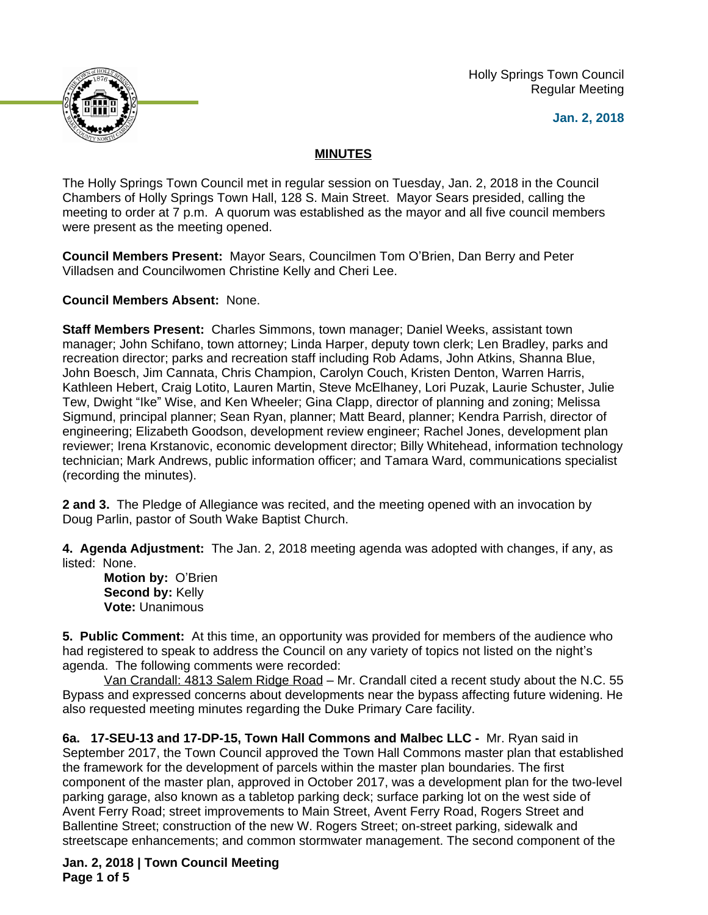Holly Springs Town Council Regular Meeting





## **MINUTES**

The Holly Springs Town Council met in regular session on Tuesday, Jan. 2, 2018 in the Council Chambers of Holly Springs Town Hall, 128 S. Main Street. Mayor Sears presided, calling the meeting to order at 7 p.m. A quorum was established as the mayor and all five council members were present as the meeting opened.

**Council Members Present:** Mayor Sears, Councilmen Tom O'Brien, Dan Berry and Peter Villadsen and Councilwomen Christine Kelly and Cheri Lee.

**Council Members Absent:** None.

**Staff Members Present:** Charles Simmons, town manager; Daniel Weeks, assistant town manager; John Schifano, town attorney; Linda Harper, deputy town clerk; Len Bradley, parks and recreation director; parks and recreation staff including Rob Adams, John Atkins, Shanna Blue, John Boesch, Jim Cannata, Chris Champion, Carolyn Couch, Kristen Denton, Warren Harris, Kathleen Hebert, Craig Lotito, Lauren Martin, Steve McElhaney, Lori Puzak, Laurie Schuster, Julie Tew, Dwight "Ike" Wise, and Ken Wheeler; Gina Clapp, director of planning and zoning; Melissa Sigmund, principal planner; Sean Ryan, planner; Matt Beard, planner; Kendra Parrish, director of engineering; Elizabeth Goodson, development review engineer; Rachel Jones, development plan reviewer; Irena Krstanovic, economic development director; Billy Whitehead, information technology technician; Mark Andrews, public information officer; and Tamara Ward, communications specialist (recording the minutes).

**2 and 3.** The Pledge of Allegiance was recited, and the meeting opened with an invocation by Doug Parlin, pastor of South Wake Baptist Church.

**4. Agenda Adjustment:** The Jan. 2, 2018 meeting agenda was adopted with changes, if any, as listed: None.

**Motion by:** O'Brien **Second by:** Kelly **Vote:** Unanimous

**5. Public Comment:** At this time, an opportunity was provided for members of the audience who had registered to speak to address the Council on any variety of topics not listed on the night's agenda. The following comments were recorded:

Van Crandall: 4813 Salem Ridge Road – Mr. Crandall cited a recent study about the N.C. 55 Bypass and expressed concerns about developments near the bypass affecting future widening. He also requested meeting minutes regarding the Duke Primary Care facility.

**6a. 17-SEU-13 and 17-DP-15, Town Hall Commons and Malbec LLC -** Mr. Ryan said in September 2017, the Town Council approved the Town Hall Commons master plan that established the framework for the development of parcels within the master plan boundaries. The first component of the master plan, approved in October 2017, was a development plan for the two-level parking garage, also known as a tabletop parking deck; surface parking lot on the west side of Avent Ferry Road; street improvements to Main Street, Avent Ferry Road, Rogers Street and Ballentine Street; construction of the new W. Rogers Street; on-street parking, sidewalk and streetscape enhancements; and common stormwater management. The second component of the

**Jan. 2, 2018 | Town Council Meeting Page 1 of 5**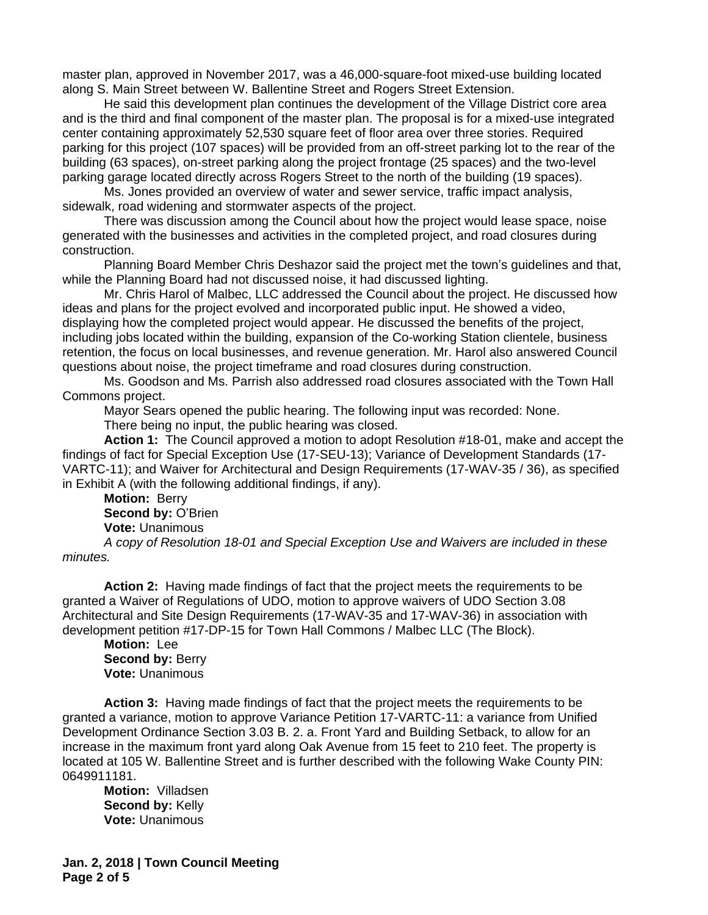master plan, approved in November 2017, was a 46,000-square-foot mixed-use building located along S. Main Street between W. Ballentine Street and Rogers Street Extension.

He said this development plan continues the development of the Village District core area and is the third and final component of the master plan. The proposal is for a mixed-use integrated center containing approximately 52,530 square feet of floor area over three stories. Required parking for this project (107 spaces) will be provided from an off-street parking lot to the rear of the building (63 spaces), on-street parking along the project frontage (25 spaces) and the two-level parking garage located directly across Rogers Street to the north of the building (19 spaces).

Ms. Jones provided an overview of water and sewer service, traffic impact analysis, sidewalk, road widening and stormwater aspects of the project.

There was discussion among the Council about how the project would lease space, noise generated with the businesses and activities in the completed project, and road closures during construction.

Planning Board Member Chris Deshazor said the project met the town's guidelines and that, while the Planning Board had not discussed noise, it had discussed lighting.

Mr. Chris Harol of Malbec, LLC addressed the Council about the project. He discussed how ideas and plans for the project evolved and incorporated public input. He showed a video, displaying how the completed project would appear. He discussed the benefits of the project, including jobs located within the building, expansion of the Co-working Station clientele, business retention, the focus on local businesses, and revenue generation. Mr. Harol also answered Council questions about noise, the project timeframe and road closures during construction.

Ms. Goodson and Ms. Parrish also addressed road closures associated with the Town Hall Commons project.

Mayor Sears opened the public hearing. The following input was recorded: None.

There being no input, the public hearing was closed.

**Action 1:** The Council approved a motion to adopt Resolution #18-01, make and accept the findings of fact for Special Exception Use (17-SEU-13); Variance of Development Standards (17- VARTC-11); and Waiver for Architectural and Design Requirements (17-WAV-35 / 36), as specified in Exhibit A (with the following additional findings, if any).

**Motion:** Berry **Second by:** O'Brien **Vote:** Unanimous

*A copy of Resolution 18-01 and Special Exception Use and Waivers are included in these minutes.*

**Action 2:** Having made findings of fact that the project meets the requirements to be granted a Waiver of Regulations of UDO, motion to approve waivers of UDO Section 3.08 Architectural and Site Design Requirements (17-WAV-35 and 17-WAV-36) in association with development petition #17-DP-15 for Town Hall Commons / Malbec LLC (The Block).

**Motion:** Lee **Second by: Berry Vote:** Unanimous

**Action 3:** Having made findings of fact that the project meets the requirements to be granted a variance, motion to approve Variance Petition 17-VARTC-11: a variance from Unified Development Ordinance Section 3.03 B. 2. a. Front Yard and Building Setback, to allow for an increase in the maximum front yard along Oak Avenue from 15 feet to 210 feet. The property is located at 105 W. Ballentine Street and is further described with the following Wake County PIN: 0649911181.

**Motion:** Villadsen **Second by:** Kelly **Vote:** Unanimous

**Jan. 2, 2018 | Town Council Meeting Page 2 of 5**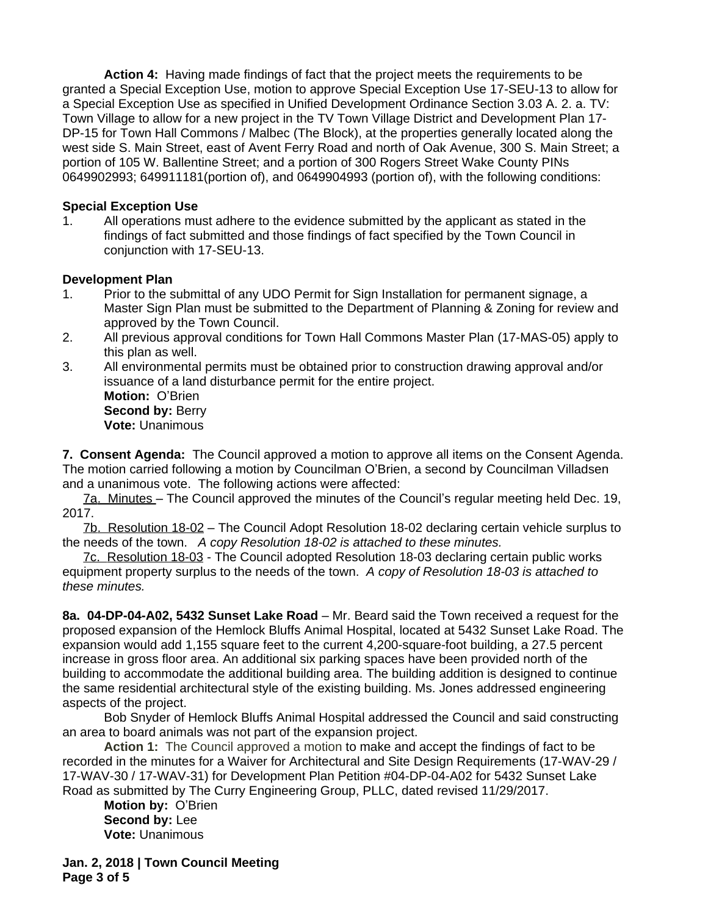**Action 4:** Having made findings of fact that the project meets the requirements to be granted a Special Exception Use, motion to approve Special Exception Use 17-SEU-13 to allow for a Special Exception Use as specified in Unified Development Ordinance Section 3.03 A. 2. a. TV: Town Village to allow for a new project in the TV Town Village District and Development Plan 17- DP-15 for Town Hall Commons / Malbec (The Block), at the properties generally located along the west side S. Main Street, east of Avent Ferry Road and north of Oak Avenue, 300 S. Main Street; a portion of 105 W. Ballentine Street; and a portion of 300 Rogers Street Wake County PINs 0649902993; 649911181(portion of), and 0649904993 (portion of), with the following conditions:

## **Special Exception Use**

1. All operations must adhere to the evidence submitted by the applicant as stated in the findings of fact submitted and those findings of fact specified by the Town Council in conjunction with 17-SEU-13.

## **Development Plan**

- 1. Prior to the submittal of any UDO Permit for Sign Installation for permanent signage, a Master Sign Plan must be submitted to the Department of Planning & Zoning for review and approved by the Town Council.
- 2. All previous approval conditions for Town Hall Commons Master Plan (17-MAS-05) apply to this plan as well.
- 3. All environmental permits must be obtained prior to construction drawing approval and/or issuance of a land disturbance permit for the entire project. **Motion:** O'Brien

**Second by: Berry Vote:** Unanimous

**7. Consent Agenda:** The Council approved a motion to approve all items on the Consent Agenda. The motion carried following a motion by Councilman O'Brien, a second by Councilman Villadsen and a unanimous vote. The following actions were affected:

7a. Minutes – The Council approved the minutes of the Council's regular meeting held Dec. 19, 2017.

7b. Resolution 18-02 – The Council Adopt Resolution 18-02 declaring certain vehicle surplus to the needs of the town. *A copy Resolution 18-02 is attached to these minutes.*

7c. Resolution 18-03 - The Council adopted Resolution 18-03 declaring certain public works equipment property surplus to the needs of the town. *A copy of Resolution 18-03 is attached to these minutes.* 

**8a. 04-DP-04-A02, 5432 Sunset Lake Road** – Mr. Beard said the Town received a request for the proposed expansion of the Hemlock Bluffs Animal Hospital, located at 5432 Sunset Lake Road. The expansion would add 1,155 square feet to the current 4,200-square-foot building, a 27.5 percent increase in gross floor area. An additional six parking spaces have been provided north of the building to accommodate the additional building area. The building addition is designed to continue the same residential architectural style of the existing building. Ms. Jones addressed engineering aspects of the project.

Bob Snyder of Hemlock Bluffs Animal Hospital addressed the Council and said constructing an area to board animals was not part of the expansion project.

**Action 1:** The Council approved a motion to make and accept the findings of fact to be recorded in the minutes for a Waiver for Architectural and Site Design Requirements (17-WAV-29 / 17-WAV-30 / 17-WAV-31) for Development Plan Petition #04-DP-04-A02 for 5432 Sunset Lake Road as submitted by The Curry Engineering Group, PLLC, dated revised 11/29/2017.

**Motion by:** O'Brien **Second by:** Lee **Vote:** Unanimous

**Jan. 2, 2018 | Town Council Meeting Page 3 of 5**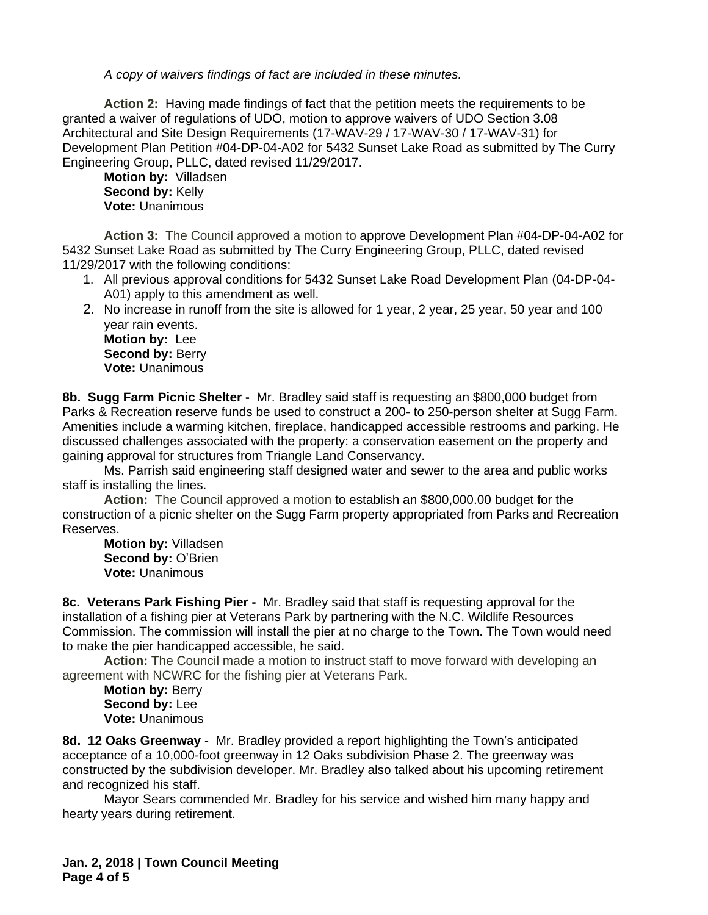*A copy of waivers findings of fact are included in these minutes.*

**Action 2:** Having made findings of fact that the petition meets the requirements to be granted a waiver of regulations of UDO, motion to approve waivers of UDO Section 3.08 Architectural and Site Design Requirements (17-WAV-29 / 17-WAV-30 / 17-WAV-31) for Development Plan Petition #04-DP-04-A02 for 5432 Sunset Lake Road as submitted by The Curry Engineering Group, PLLC, dated revised 11/29/2017.

**Motion by:** Villadsen **Second by:** Kelly **Vote:** Unanimous

**Action 3:** The Council approved a motion to approve Development Plan #04-DP-04-A02 for 5432 Sunset Lake Road as submitted by The Curry Engineering Group, PLLC, dated revised 11/29/2017 with the following conditions:

- 1. All previous approval conditions for 5432 Sunset Lake Road Development Plan (04-DP-04- A01) apply to this amendment as well.
- 2. No increase in runoff from the site is allowed for 1 year, 2 year, 25 year, 50 year and 100 year rain events.

**Motion by:** Lee **Second by: Berry Vote:** Unanimous

**8b. Sugg Farm Picnic Shelter -** Mr. Bradley said staff is requesting an \$800,000 budget from Parks & Recreation reserve funds be used to construct a 200- to 250-person shelter at Sugg Farm. Amenities include a warming kitchen, fireplace, handicapped accessible restrooms and parking. He discussed challenges associated with the property: a conservation easement on the property and gaining approval for structures from Triangle Land Conservancy.

Ms. Parrish said engineering staff designed water and sewer to the area and public works staff is installing the lines.

**Action:** The Council approved a motion to establish an \$800,000.00 budget for the construction of a picnic shelter on the Sugg Farm property appropriated from Parks and Recreation Reserves.

**Motion by:** Villadsen **Second by:** O'Brien **Vote:** Unanimous

**8c. Veterans Park Fishing Pier -** Mr. Bradley said that staff is requesting approval for the installation of a fishing pier at Veterans Park by partnering with the N.C. Wildlife Resources Commission. The commission will install the pier at no charge to the Town. The Town would need to make the pier handicapped accessible, he said.

**Action:** The Council made a motion to instruct staff to move forward with developing an agreement with NCWRC for the fishing pier at Veterans Park.

**Motion by:** Berry **Second by:** Lee **Vote:** Unanimous

**8d. 12 Oaks Greenway -** Mr. Bradley provided a report highlighting the Town's anticipated acceptance of a 10,000-foot greenway in 12 Oaks subdivision Phase 2. The greenway was constructed by the subdivision developer. Mr. Bradley also talked about his upcoming retirement and recognized his staff.

Mayor Sears commended Mr. Bradley for his service and wished him many happy and hearty years during retirement.